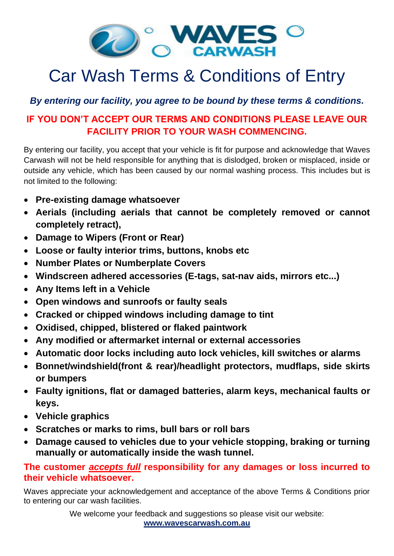

# Car Wash Terms & Conditions of Entry

## *By entering our facility, you agree to be bound by these terms & conditions.*

## **IF YOU DON'T ACCEPT OUR TERMS AND CONDITIONS PLEASE LEAVE OUR FACILITY PRIOR TO YOUR WASH COMMENCING.**

By entering our facility, you accept that your vehicle is fit for purpose and acknowledge that Waves Carwash will not be held responsible for anything that is dislodged, broken or misplaced, inside or outside any vehicle, which has been caused by our normal washing process. This includes but is not limited to the following:

- **Pre-existing damage whatsoever**
- **Aerials (including aerials that cannot be completely removed or cannot completely retract),**
- **Damage to Wipers (Front or Rear)**
- **Loose or faulty interior trims, buttons, knobs etc**
- **Number Plates or Numberplate Covers**
- **Windscreen adhered accessories (E-tags, sat-nav aids, mirrors etc...)**
- **Any Items left in a Vehicle**
- **Open windows and sunroofs or faulty seals**
- **Cracked or chipped windows including damage to tint**
- **Oxidised, chipped, blistered or flaked paintwork**
- **Any modified or aftermarket internal or external accessories**
- **Automatic door locks including auto lock vehicles, kill switches or alarms**
- **Bonnet/windshield(front & rear)/headlight protectors, mudflaps, side skirts or bumpers**
- **Faulty ignitions, flat or damaged batteries, alarm keys, mechanical faults or keys.**
- **Vehicle graphics**
- **Scratches or marks to rims, bull bars or roll bars**
- **Damage caused to vehicles due to your vehicle stopping, braking or turning manually or automatically inside the wash tunnel.**

### **The customer** *accepts full* **responsibility for any damages or loss incurred to their vehicle whatsoever.**

Waves appreciate your acknowledgement and acceptance of the above Terms & Conditions prior to entering our car wash facilities.

> We welcome your feedback and suggestions so please visit our website: **[www.wavescarwash.com.au](http://www.wavescarwash.com.au/)**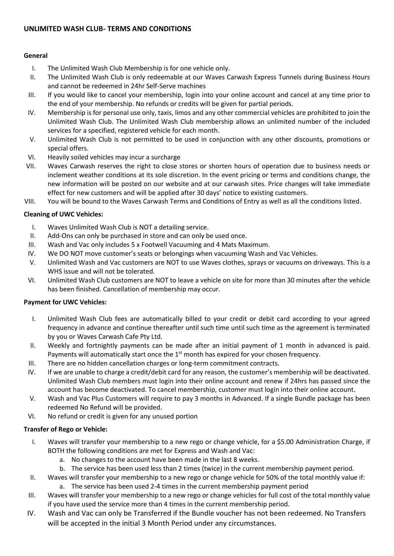#### **UNLIMITED WASH CLUB- TERMS AND CONDITIONS**

#### **General**

- I. The Unlimited Wash Club Membership is for one vehicle only.
- II. The Unlimited Wash Club is only redeemable at our Waves Carwash Express Tunnels during Business Hours and cannot be redeemed in 24hr Self-Serve machines
- III. If you would like to cancel your membership, login into your online account and cancel at any time prior to the end of your membership. No refunds or credits will be given for partial periods.
- IV. Membership is for personal use only, taxis, limos and any other commercial vehicles are prohibited to join the Unlimited Wash Club. The Unlimited Wash Club membership allows an unlimited number of the included services for a specified, registered vehicle for each month.
- V. Unlimited Wash Club is not permitted to be used in conjunction with any other discounts, promotions or special offers.
- VI. Heavily soiled vehicles may incur a surcharge
- VII. Waves Carwash reserves the right to close stores or shorten hours of operation due to business needs or inclement weather conditions at its sole discretion. In the event pricing or terms and conditions change, the new information will be posted on our website and at our carwash sites. Price changes will take immediate effect for new customers and will be applied after 30 days' notice to existing customers.
- VIII. You will be bound to the Waves Carwash Terms and Conditions of Entry as well as all the conditions listed.

#### **Cleaning of UWC Vehicles:**

- I. Waves Unlimited Wash Club is NOT a detailing service.
- II. Add-Ons can only be purchased in store and can only be used once.
- III. Wash and Vac only includes 5 x Footwell Vacuuming and 4 Mats Maximum.
- IV. We DO NOT move customer's seats or belongings when vacuuming Wash and Vac Vehicles.
- V. Unlimited Wash and Vac customers are NOT to use Waves clothes, sprays or vacuums on driveways. This is a WHS issue and will not be tolerated.
- VI. Unlimited Wash Club customers are NOT to leave a vehicle on site for more than 30 minutes after the vehicle has been finished. Cancellation of membership may occur.

#### **Payment for UWC Vehicles:**

- I. Unlimited Wash Club fees are automatically billed to your credit or debit card according to your agreed frequency in advance and continue thereafter until such time until such time as the agreement is terminated by you or Waves Carwash Cafe Pty Ltd.
- II. Weekly and fortnightly payments can be made after an initial payment of 1 month in advanced is paid. Payments will automatically start once the 1<sup>st</sup> month has expired for your chosen frequency.
- III. There are no hidden cancellation charges or long-term commitment contracts.
- IV. If we are unable to charge a credit/debit card for any reason, the customer's membership will be deactivated. Unlimited Wash Club members must login into their online account and renew if 24hrs has passed since the account has become deactivated. To cancel membership, customer must login into their online account.
- V. Wash and Vac Plus Customers will require to pay 3 months in Advanced. If a single Bundle package has been redeemed No Refund will be provided.
- VI. No refund or credit is given for any unused portion

#### **Transfer of Rego or Vehicle:**

- I. Waves will transfer your membership to a new rego or change vehicle, for a \$5.00 Administration Charge, if BOTH the following conditions are met for Express and Wash and Vac:
	- a. No changes to the account have been made in the last 8 weeks.
	- b. The service has been used less than 2 times (twice) in the current membership payment period.
- II. Waves will transfer your membership to a new rego or change vehicle for 50% of the total monthly value if: a. The service has been used 2-4 times in the current membership payment period
- III. Waves will transfer your membership to a new rego or change vehicles for full cost of the total monthly value if you have used the service more than 4 times in the current membership period.
- IV. Wash and Vac can only be Transferred if the Bundle voucher has not been redeemed. No Transfers will be accepted in the initial 3 Month Period under any circumstances.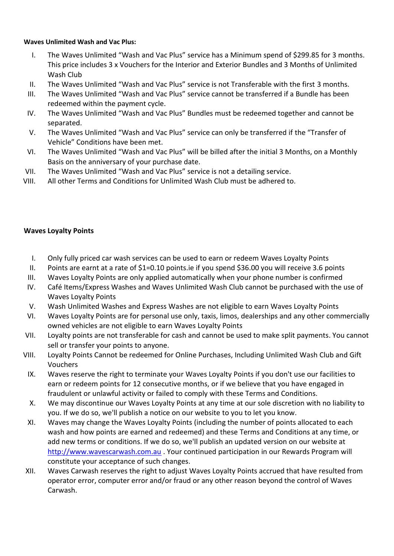#### **Waves Unlimited Wash and Vac Plus:**

- I. The Waves Unlimited "Wash and Vac Plus" service has a Minimum spend of \$299.85 for 3 months. This price includes 3 x Vouchers for the Interior and Exterior Bundles and 3 Months of Unlimited Wash Club
- II. The Waves Unlimited "Wash and Vac Plus" service is not Transferable with the first 3 months.
- III. The Waves Unlimited "Wash and Vac Plus" service cannot be transferred if a Bundle has been redeemed within the payment cycle.
- IV. The Waves Unlimited "Wash and Vac Plus" Bundles must be redeemed together and cannot be separated.
- V. The Waves Unlimited "Wash and Vac Plus" service can only be transferred if the "Transfer of Vehicle" Conditions have been met.
- VI. The Waves Unlimited "Wash and Vac Plus" will be billed after the initial 3 Months, on a Monthly Basis on the anniversary of your purchase date.
- VII. The Waves Unlimited "Wash and Vac Plus" service is not a detailing service.
- VIII. All other Terms and Conditions for Unlimited Wash Club must be adhered to.

#### **Waves Loyalty Points**

- I. Only fully priced car wash services can be used to earn or redeem Waves Loyalty Points
- II. Points are earnt at a rate of \$1=0.10 points.ie if you spend \$36.00 you will receive 3.6 points
- III. Waves Loyalty Points are only applied automatically when your phone number is confirmed
- IV. Café Items/Express Washes and Waves Unlimited Wash Club cannot be purchased with the use of Waves Loyalty Points
- V. Wash Unlimited Washes and Express Washes are not eligible to earn Waves Loyalty Points
- VI. Waves Loyalty Points are for personal use only, taxis, limos, dealerships and any other commercially owned vehicles are not eligible to earn Waves Loyalty Points
- VII. Loyalty points are not transferable for cash and cannot be used to make split payments. You cannot sell or transfer your points to anyone.
- VIII. Loyalty Points Cannot be redeemed for Online Purchases, Including Unlimited Wash Club and Gift Vouchers
	- IX. Waves reserve the right to terminate your Waves Loyalty Points if you don't use our facilities to earn or redeem points for 12 consecutive months, or if we believe that you have engaged in fraudulent or unlawful activity or failed to comply with these Terms and Conditions.
	- X. We may discontinue our Waves Loyalty Points at any time at our sole discretion with no liability to you. If we do so, we'll publish a notice on our website to you to let you know.
	- XI. Waves may change the Waves Loyalty Points (including the number of points allocated to each wash and how points are earned and redeemed) and these Terms and Conditions at any time, or add new terms or conditions. If we do so, we'll publish an updated version on our website at [http://www.wavescarwash.com.au](http://www.wavescarwash.com.au/) . Your continued participation in our Rewards Program will constitute your acceptance of such changes.
- XII. Waves Carwash reserves the right to adjust Waves Loyalty Points accrued that have resulted from operator error, computer error and/or fraud or any other reason beyond the control of Waves Carwash.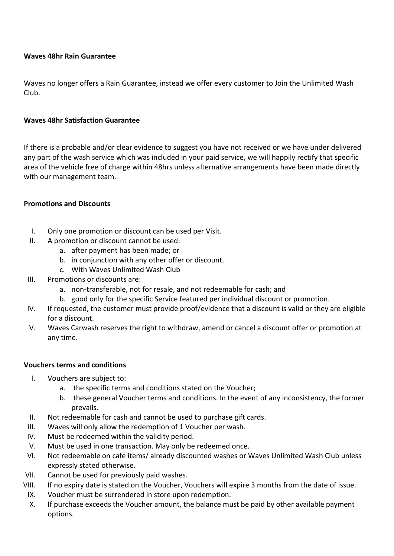#### **Waves 48hr Rain Guarantee**

Waves no longer offers a Rain Guarantee, instead we offer every customer to Join the Unlimited Wash Club.

#### **Waves 48hr Satisfaction Guarantee**

If there is a probable and/or clear evidence to suggest you have not received or we have under delivered any part of the wash service which was included in your paid service, we will happily rectify that specific area of the vehicle free of charge within 48hrs unless alternative arrangements have been made directly with our management team.

#### **Promotions and Discounts**

- I. Only one promotion or discount can be used per Visit.
- II. A promotion or discount cannot be used:
	- a. after payment has been made; or
	- b. in conjunction with any other offer or discount.
	- c. With Waves Unlimited Wash Club
- III. Promotions or discounts are:
	- a. non-transferable, not for resale, and not redeemable for cash; and
	- b. good only for the specific Service featured per individual discount or promotion.
- IV. If requested, the customer must provide proof/evidence that a discount is valid or they are eligible for a discount.
- V. Waves Carwash reserves the right to withdraw, amend or cancel a discount offer or promotion at any time.

#### **Vouchers terms and conditions**

- I. Vouchers are subject to:
	- a. the specific terms and conditions stated on the Voucher;
	- b. these general Voucher terms and conditions. In the event of any inconsistency, the former prevails.
- II. Not redeemable for cash and cannot be used to purchase gift cards.
- III. Waves will only allow the redemption of 1 Voucher per wash.
- IV. Must be redeemed within the validity period.
- V. Must be used in one transaction. May only be redeemed once.
- VI. Not redeemable on café items/ already discounted washes or Waves Unlimited Wash Club unless expressly stated otherwise.
- VII. Cannot be used for previously paid washes.
- VIII. If no expiry date is stated on the Voucher, Vouchers will expire 3 months from the date of issue.
- IX. Voucher must be surrendered in store upon redemption.
- X. If purchase exceeds the Voucher amount, the balance must be paid by other available payment options.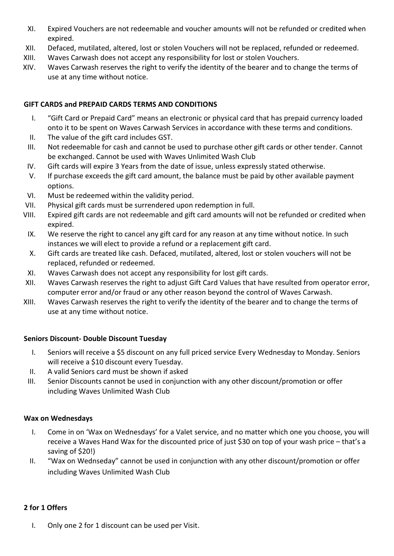- XI. Expired Vouchers are not redeemable and voucher amounts will not be refunded or credited when expired.
- XII. Defaced, mutilated, altered, lost or stolen Vouchers will not be replaced, refunded or redeemed.
- XIII. Waves Carwash does not accept any responsibility for lost or stolen Vouchers.
- XIV. Waves Carwash reserves the right to verify the identity of the bearer and to change the terms of use at any time without notice.

#### **GIFT CARDS and PREPAID CARDS TERMS AND CONDITIONS**

- I. "Gift Card or Prepaid Card" means an electronic or physical card that has prepaid currency loaded onto it to be spent on Waves Carwash Services in accordance with these terms and conditions.
- II. The value of the gift card includes GST.
- III. Not redeemable for cash and cannot be used to purchase other gift cards or other tender. Cannot be exchanged. Cannot be used with Waves Unlimited Wash Club
- IV. Gift cards will expire 3 Years from the date of issue, unless expressly stated otherwise.
- V. If purchase exceeds the gift card amount, the balance must be paid by other available payment options.
- VI. Must be redeemed within the validity period.
- VII. Physical gift cards must be surrendered upon redemption in full.
- VIII. Expired gift cards are not redeemable and gift card amounts will not be refunded or credited when expired.
	- IX. We reserve the right to cancel any gift card for any reason at any time without notice. In such instances we will elect to provide a refund or a replacement gift card.
	- X. Gift cards are treated like cash. Defaced, mutilated, altered, lost or stolen vouchers will not be replaced, refunded or redeemed.
- XI. Waves Carwash does not accept any responsibility for lost gift cards.
- XII. Waves Carwash reserves the right to adjust Gift Card Values that have resulted from operator error, computer error and/or fraud or any other reason beyond the control of Waves Carwash.
- XIII. Waves Carwash reserves the right to verify the identity of the bearer and to change the terms of use at any time without notice.

#### **Seniors Discount- Double Discount Tuesday**

- I. Seniors will receive a \$5 discount on any full priced service Every Wednesday to Monday. Seniors will receive a \$10 discount every Tuesday.
- II. A valid Seniors card must be shown if asked
- III. Senior Discounts cannot be used in conjunction with any other discount/promotion or offer including Waves Unlimited Wash Club

#### **Wax on Wednesdays**

- I. Come in on 'Wax on Wednesdays' for a Valet service, and no matter which one you choose, you will receive a Waves Hand Wax for the discounted price of just \$30 on top of your wash price – that's a saving of \$20!)
- II. "Wax on Wednseday" cannot be used in conjunction with any other discount/promotion or offer including Waves Unlimited Wash Club

#### **2 for 1 Offers**

I. Only one 2 for 1 discount can be used per Visit.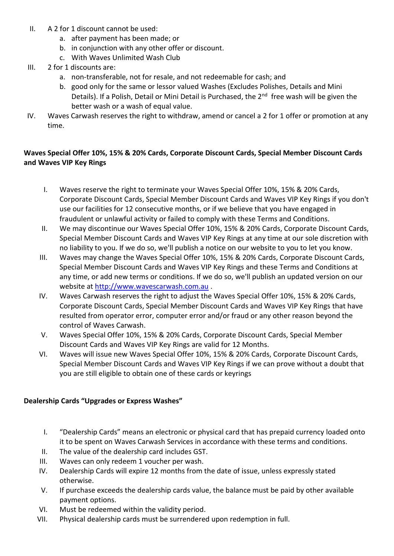- II. A 2 for 1 discount cannot be used:
	- a. after payment has been made; or
	- b. in conjunction with any other offer or discount.
	- c. With Waves Unlimited Wash Club
- III. 2 for 1 discounts are:
	- a. non-transferable, not for resale, and not redeemable for cash; and
	- b. good only for the same or lessor valued Washes (Excludes Polishes, Details and Mini Details). If a Polish, Detail or Mini Detail is Purchased, the 2<sup>nd</sup> free wash will be given the better wash or a wash of equal value.
- IV. Waves Carwash reserves the right to withdraw, amend or cancel a 2 for 1 offer or promotion at any time.

#### **Waves Special Offer 10%, 15% & 20% Cards, Corporate Discount Cards, Special Member Discount Cards and Waves VIP Key Rings**

- I. Waves reserve the right to terminate your Waves Special Offer 10%, 15% & 20% Cards, Corporate Discount Cards, Special Member Discount Cards and Waves VIP Key Rings if you don't use our facilities for 12 consecutive months, or if we believe that you have engaged in fraudulent or unlawful activity or failed to comply with these Terms and Conditions.
- II. We may discontinue our Waves Special Offer 10%, 15% & 20% Cards, Corporate Discount Cards, Special Member Discount Cards and Waves VIP Key Rings at any time at our sole discretion with no liability to you. If we do so, we'll publish a notice on our website to you to let you know.
- III. Waves may change the Waves Special Offer 10%, 15% & 20% Cards, Corporate Discount Cards, Special Member Discount Cards and Waves VIP Key Rings and these Terms and Conditions at any time, or add new terms or conditions. If we do so, we'll publish an updated version on our website at [http://www.wavescarwash.com.au](http://www.wavescarwash.com.au/) .
- IV. Waves Carwash reserves the right to adjust the Waves Special Offer 10%, 15% & 20% Cards, Corporate Discount Cards, Special Member Discount Cards and Waves VIP Key Rings that have resulted from operator error, computer error and/or fraud or any other reason beyond the control of Waves Carwash.
- V. Waves Special Offer 10%, 15% & 20% Cards, Corporate Discount Cards, Special Member Discount Cards and Waves VIP Key Rings are valid for 12 Months.
- VI. Waves will issue new Waves Special Offer 10%, 15% & 20% Cards, Corporate Discount Cards, Special Member Discount Cards and Waves VIP Key Rings if we can prove without a doubt that you are still eligible to obtain one of these cards or keyrings

#### **Dealership Cards "Upgrades or Express Washes"**

- I. "Dealership Cards" means an electronic or physical card that has prepaid currency loaded onto it to be spent on Waves Carwash Services in accordance with these terms and conditions.
- II. The value of the dealership card includes GST.
- III. Waves can only redeem 1 voucher per wash.
- IV. Dealership Cards will expire 12 months from the date of issue, unless expressly stated otherwise.
- V. If purchase exceeds the dealership cards value, the balance must be paid by other available payment options.
- VI. Must be redeemed within the validity period.
- VII. Physical dealership cards must be surrendered upon redemption in full.